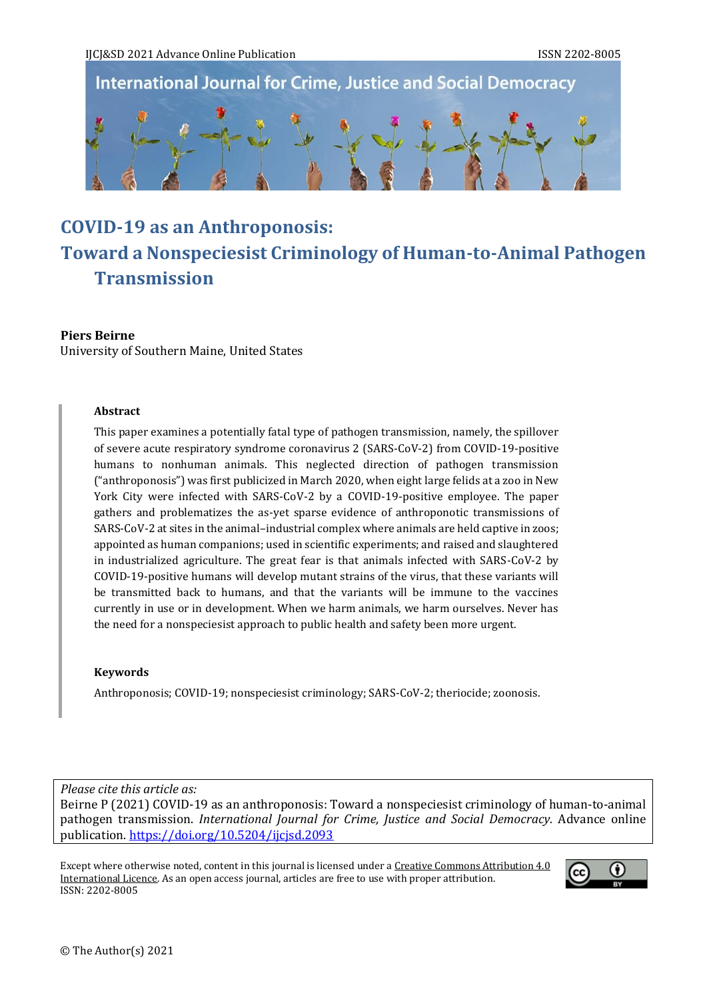**International Journal for Crime, Justice and Social Democracy** 



# **COVID-19 as an Anthroponosis: Toward a Nonspeciesist Criminology of Human-to-Animal Pathogen Transmission**

### **Piers Beirne**

University of Southern Maine, United States

## **Abstract**

This paper examines a potentially fatal type of pathogen transmission, namely, the spillover of severe acute respiratory syndrome coronavirus 2 (SARS-CoV-2) from COVID-19-positive humans to nonhuman animals. This neglected direction of pathogen transmission ("anthroponosis") was first publicized in March 2020, when eight large felids at a zoo in New York City were infected with SARS-CoV-2 by a COVID-19-positive employee. The paper gathers and problematizes the as-yet sparse evidence of anthroponotic transmissions of SARS-CoV-2 at sites in the animal–industrial complex where animals are held captive in zoos; appointed as human companions; used in scientific experiments; and raised and slaughtered in industrialized agriculture. The great fear is that animals infected with SARS-CoV-2 by COVID-19-positive humans will develop mutant strains of the virus, that these variants will be transmitted back to humans, and that the variants will be immune to the vaccines currently in use or in development. When we harm animals, we harm ourselves. Never has the need for a nonspeciesist approach to public health and safety been more urgent.

#### **Keywords**

Anthroponosis; COVID-19; nonspeciesist criminology; SARS-CoV-2; theriocide; zoonosis.

*Please cite this article as:*

Beirne P (2021) COVID-19 as an anthroponosis: Toward a nonspeciesist criminology of human-to-animal pathogen transmission. *International Journal for Crime, Justice and Social Democracy.* Advance online publication.<https://doi.org/10.5204/ijcjsd.2093>

Except where otherwise noted, content in this journal is licensed under [a Creative Commons Attribution 4.0](https://creativecommons.org/licenses/by/4.0/)  [International Licence.](https://creativecommons.org/licenses/by/4.0/) As an open access journal, articles are free to use with proper attribution. ISSN: 2202-8005

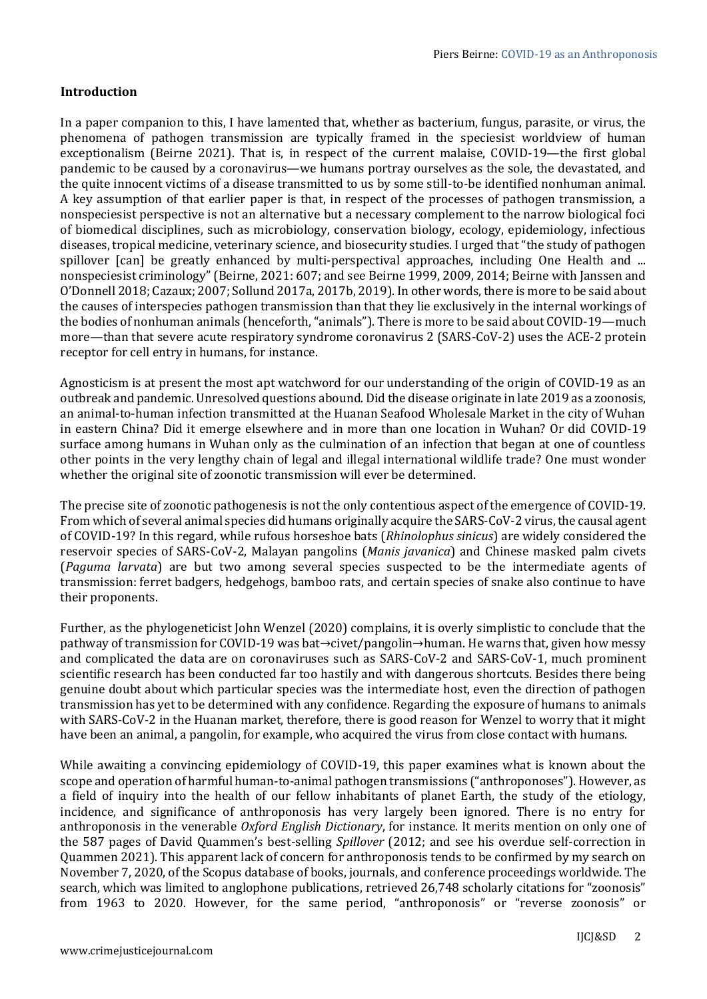# **Introduction**

In a paper companion to this, I have lamented that, whether as bacterium, fungus, parasite, or virus, the phenomena of pathogen transmission are typically framed in the speciesist worldview of human exceptionalism (Beirne 2021). That is, in respect of the current malaise, COVID-19—the first global pandemic to be caused by a coronavirus—we humans portray ourselves as the sole, the devastated, and the quite innocent victims of a disease transmitted to us by some still-to-be identified nonhuman animal. A key assumption of that earlier paper is that, in respect of the processes of pathogen transmission, a nonspeciesist perspective is not an alternative but a necessary complement to the narrow biological foci of biomedical disciplines, such as microbiology, conservation biology, ecology, epidemiology, infectious diseases, tropical medicine, veterinary science, and biosecurity studies. I urged that "the study of pathogen spillover [can] be greatly enhanced by multi-perspectival approaches, including One Health and ... nonspeciesist criminology" (Beirne, 2021: 607; and see Beirne 1999, 2009, 2014; Beirne with Janssen and O'Donnell 2018; Cazaux; 2007; Sollund 2017a, 2017b, 2019). In other words, there is more to be said about the causes of interspecies pathogen transmission than that they lie exclusively in the internal workings of the bodies of nonhuman animals (henceforth, "animals"). There is more to be said about COVID-19—much more—than that severe acute respiratory syndrome coronavirus 2 (SARS-CoV-2) uses the ACE-2 protein receptor for cell entry in humans, for instance.

Agnosticism is at present the most apt watchword for our understanding of the origin of COVID-19 as an outbreak and pandemic. Unresolved questions abound. Did the disease originate in late 2019 as a zoonosis, an animal-to-human infection transmitted at the Huanan Seafood Wholesale Market in the city of Wuhan in eastern China? Did it emerge elsewhere and in more than one location in Wuhan? Or did COVID-19 surface among humans in Wuhan only as the culmination of an infection that began at one of countless other points in the very lengthy chain of legal and illegal international wildlife trade? One must wonder whether the original site of zoonotic transmission will ever be determined.

The precise site of zoonotic pathogenesis is not the only contentious aspect of the emergence of COVID-19. From which of several animal species did humans originally acquire the SARS-CoV-2 virus, the causal agent of COVID-19? In this regard, while rufous horseshoe bats (*Rhinolophus sinicus*) are widely considered the reservoir species of SARS-CoV-2, Malayan pangolins (*Manis javanica*) and Chinese masked palm civets (*Paguma larvata*) are but two among several species suspected to be the intermediate agents of transmission: ferret badgers, hedgehogs, bamboo rats, and certain species of snake also continue to have their proponents.

Further, as the phylogeneticist John Wenzel (2020) complains, it is overly simplistic to conclude that the pathway of transmission for COVID-19 was bat→civet/pangolin→human. He warns that, given how messy and complicated the data are on coronaviruses such as SARS-CoV-2 and SARS-CoV-1, much prominent scientific research has been conducted far too hastily and with dangerous shortcuts. Besides there being genuine doubt about which particular species was the intermediate host, even the direction of pathogen transmission has yet to be determined with any confidence. Regarding the exposure of humans to animals with SARS-CoV-2 in the Huanan market, therefore, there is good reason for Wenzel to worry that it might have been an animal, a pangolin, for example, who acquired the virus from close contact with humans.

While awaiting a convincing epidemiology of COVID-19, this paper examines what is known about the scope and operation of harmful human-to-animal pathogen transmissions ("anthroponoses"). However, as a field of inquiry into the health of our fellow inhabitants of planet Earth, the study of the etiology, incidence, and significance of anthroponosis has very largely been ignored. There is no entry for anthroponosis in the venerable *Oxford English Dictionary*, for instance. It merits mention on only one of the 587 pages of David Quammen's best-selling *Spillover* (2012; and see his overdue self-correction in Quammen 2021). This apparent lack of concern for anthroponosis tends to be confirmed by my search on November 7, 2020, of the Scopus database of books, journals, and conference proceedings worldwide. The search, which was limited to anglophone publications, retrieved 26,748 scholarly citations for "zoonosis" from 1963 to 2020. However, for the same period, "anthroponosis" or "reverse zoonosis" or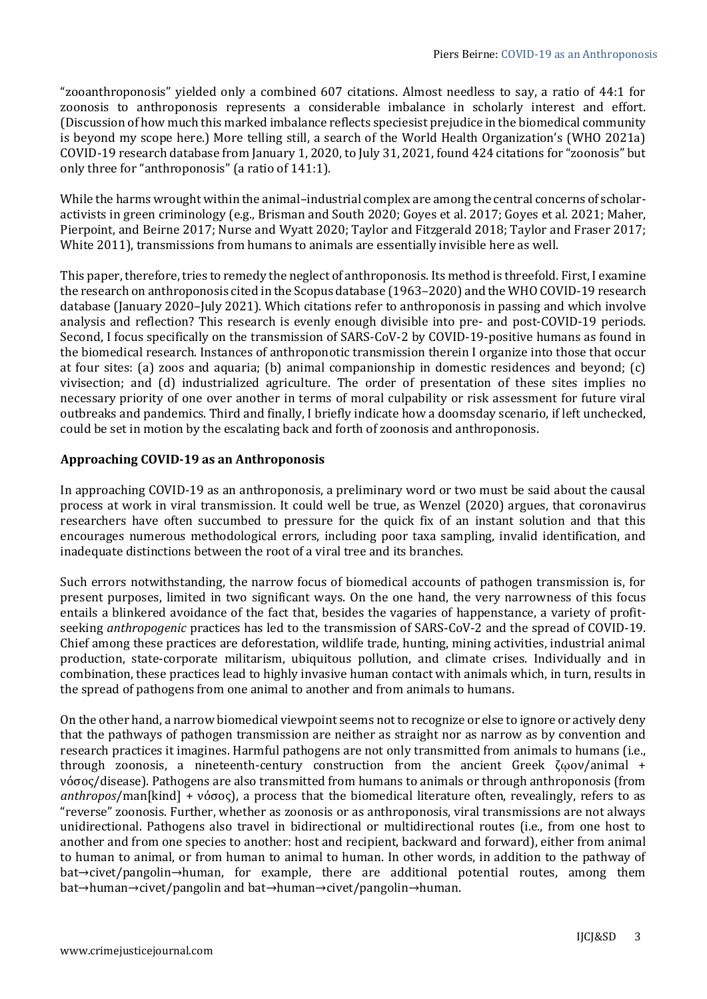"zooanthroponosis" yielded only a combined 607 citations. Almost needless to say, a ratio of 44:1 for zoonosis to anthroponosis represents a considerable imbalance in scholarly interest and effort. (Discussion of how much this marked imbalance reflects speciesist prejudice in the biomedical community is beyond my scope here.) More telling still, a search of the World Health Organization's (WHO 2021a) COVID-19 research database from January 1, 2020, to July 31, 2021, found 424 citations for "zoonosis" but only three for "anthroponosis" (a ratio of 141:1).

While the harms wrought within the animal-industrial complex are among the central concerns of scholaractivists in green criminology (e.g., Brisman and South 2020; Goyes et al. 2017; Goyes et al. 2021; Maher, Pierpoint, and Beirne 2017; Nurse and Wyatt 2020; Taylor and Fitzgerald 2018; Taylor and Fraser 2017; White 2011), transmissions from humans to animals are essentially invisible here as well.

This paper, therefore, tries to remedy the neglect of anthroponosis. Its method is threefold. First, I examine the research on anthroponosis cited in the Scopus database (1963–2020) and the WHO COVID-19 research database (January 2020–July 2021). Which citations refer to anthroponosis in passing and which involve analysis and reflection? This research is evenly enough divisible into pre- and post-COVID-19 periods. Second, I focus specifically on the transmission of SARS-CoV-2 by COVID-19-positive humans as found in the biomedical research. Instances of anthroponotic transmission therein I organize into those that occur at four sites: (a) zoos and aquaria; (b) animal companionship in domestic residences and beyond; (c) vivisection; and (d) industrialized agriculture. The order of presentation of these sites implies no necessary priority of one over another in terms of moral culpability or risk assessment for future viral outbreaks and pandemics. Third and finally, I briefly indicate how a doomsday scenario, if left unchecked, could be set in motion by the escalating back and forth of zoonosis and anthroponosis.

# **Approaching COVID-19 as an Anthroponosis**

In approaching COVID-19 as an anthroponosis, a preliminary word or two must be said about the causal process at work in viral transmission. It could well be true, as Wenzel (2020) argues, that coronavirus researchers have often succumbed to pressure for the quick fix of an instant solution and that this encourages numerous methodological errors, including poor taxa sampling, invalid identification, and inadequate distinctions between the root of a viral tree and its branches.

Such errors notwithstanding, the narrow focus of biomedical accounts of pathogen transmission is, for present purposes, limited in two significant ways. On the one hand, the very narrowness of this focus entails a blinkered avoidance of the fact that, besides the vagaries of happenstance, a variety of profitseeking *anthropogenic* practices has led to the transmission of SARS-CoV-2 and the spread of COVID-19. Chief among these practices are deforestation, wildlife trade, hunting, mining activities, industrial animal production, state-corporate militarism, ubiquitous pollution, and climate crises. Individually and in combination, these practices lead to highly invasive human contact with animals which, in turn, results in the spread of pathogens from one animal to another and from animals to humans.

On the other hand, a narrow biomedical viewpoint seems not to recognize or else to ignore or actively deny that the pathways of pathogen transmission are neither as straight nor as narrow as by convention and research practices it imagines. Harmful pathogens are not only transmitted from animals to humans (i.e., through zoonosis, a nineteenth-century construction from the ancient Greek ζῳον/animal + νόσος/disease). Pathogens are also transmitted from humans to animals or through anthroponosis (from *anthropos*/man[kind] + νόσος), a process that the biomedical literature often, revealingly, refers to as "reverse" zoonosis. Further, whether as zoonosis or as anthroponosis, viral transmissions are not always unidirectional. Pathogens also travel in bidirectional or multidirectional routes (i.e., from one host to another and from one species to another: host and recipient, backward and forward), either from animal to human to animal, or from human to animal to human. In other words, in addition to the pathway of bat→civet/pangolin→human, for example, there are additional potential routes, among them bat→human→civet/pangolin and bat→human→civet/pangolin→human.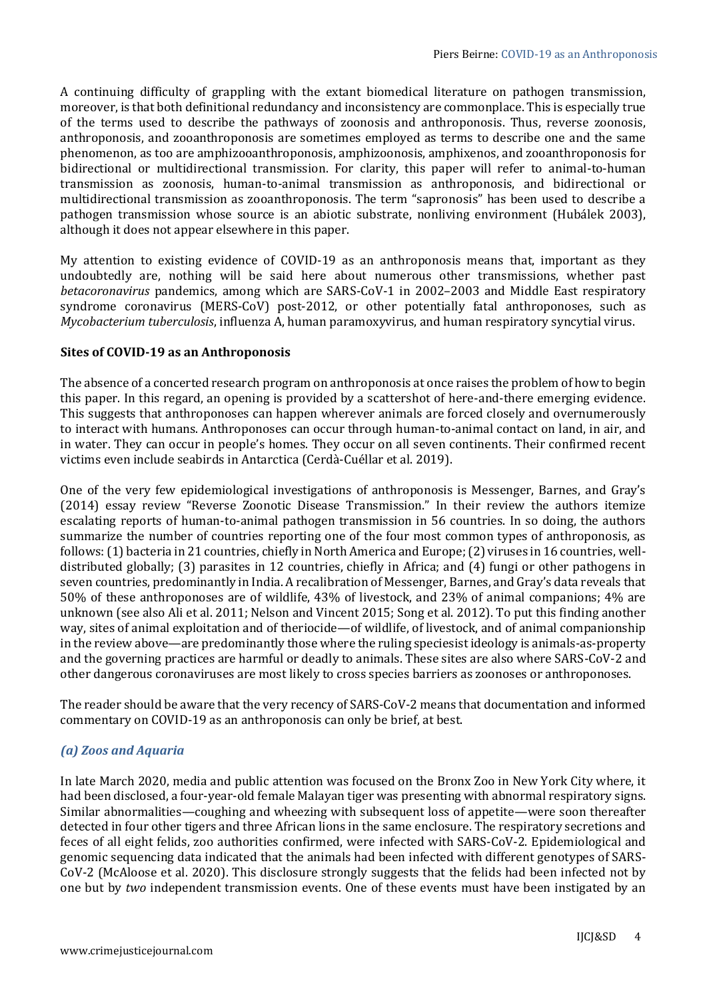A continuing difficulty of grappling with the extant biomedical literature on pathogen transmission, moreover, is that both definitional redundancy and inconsistency are commonplace. This is especially true of the terms used to describe the pathways of zoonosis and anthroponosis. Thus, reverse zoonosis, anthroponosis, and zooanthroponosis are sometimes employed as terms to describe one and the same phenomenon, as too are amphizooanthroponosis, amphizoonosis, amphixenos, and zooanthroponosis for bidirectional or multidirectional transmission. For clarity, this paper will refer to animal-to-human transmission as zoonosis, human-to-animal transmission as anthroponosis, and bidirectional or multidirectional transmission as zooanthroponosis. The term "sapronosis" has been used to describe a pathogen transmission whose source is an abiotic substrate, nonliving environment (Hubálek 2003), although it does not appear elsewhere in this paper.

My attention to existing evidence of COVID-19 as an anthroponosis means that, important as they undoubtedly are, nothing will be said here about numerous other transmissions, whether past *betacoronavirus* pandemics, among which are SARS-CoV-1 in 2002–2003 and Middle East respiratory syndrome coronavirus (MERS-CoV) post-2012, or other potentially fatal anthroponoses, such as *Mycobacterium tuberculosis*, influenza A, human paramoxyvirus, and human respiratory syncytial virus.

# **Sites of COVID-19 as an Anthroponosis**

The absence of a concerted research program on anthroponosis at once raises the problem of how to begin this paper. In this regard, an opening is provided by a scattershot of here-and-there emerging evidence. This suggests that anthroponoses can happen wherever animals are forced closely and overnumerously to interact with humans. Anthroponoses can occur through human-to-animal contact on land, in air, and in water. They can occur in people's homes. They occur on all seven continents. Their confirmed recent victims even include seabirds in Antarctica (Cerdà-Cuéllar et al. 2019).

One of the very few epidemiological investigations of anthroponosis is Messenger, Barnes, and Gray's (2014) essay review "Reverse Zoonotic Disease Transmission." In their review the authors itemize escalating reports of human-to-animal pathogen transmission in 56 countries. In so doing, the authors summarize the number of countries reporting one of the four most common types of anthroponosis, as follows: (1) bacteria in 21 countries, chiefly in North America and Europe; (2) viruses in 16 countries, welldistributed globally; (3) parasites in 12 countries, chiefly in Africa; and (4) fungi or other pathogens in seven countries, predominantly in India. A recalibration of Messenger, Barnes, and Gray's data reveals that 50% of these anthroponoses are of wildlife, 43% of livestock, and 23% of animal companions; 4% are unknown (see also Ali et al. 2011; Nelson and Vincent 2015; Song et al. 2012). To put this finding another way, sites of animal exploitation and of theriocide—of wildlife, of livestock, and of animal companionship in the review above—are predominantly those where the ruling speciesist ideology is animals-as-property and the governing practices are harmful or deadly to animals. These sites are also where SARS-CoV-2 and other dangerous coronaviruses are most likely to cross species barriers as zoonoses or anthroponoses.

The reader should be aware that the very recency of SARS-CoV-2 means that documentation and informed commentary on COVID-19 as an anthroponosis can only be brief, at best.

# *(a) Zoos and Aquaria*

In late March 2020, media and public attention was focused on the Bronx Zoo in New York City where, it had been disclosed, a four-year-old female Malayan tiger was presenting with abnormal respiratory signs. Similar abnormalities—coughing and wheezing with subsequent loss of appetite—were soon thereafter detected in four other tigers and three African lions in the same enclosure. The respiratory secretions and feces of all eight felids, zoo authorities confirmed, were infected with SARS-CoV-2. Epidemiological and genomic sequencing data indicated that the animals had been infected with different genotypes of SARS-CoV-2 (McAloose et al. 2020). This disclosure strongly suggests that the felids had been infected not by one but by *two* independent transmission events. One of these events must have been instigated by an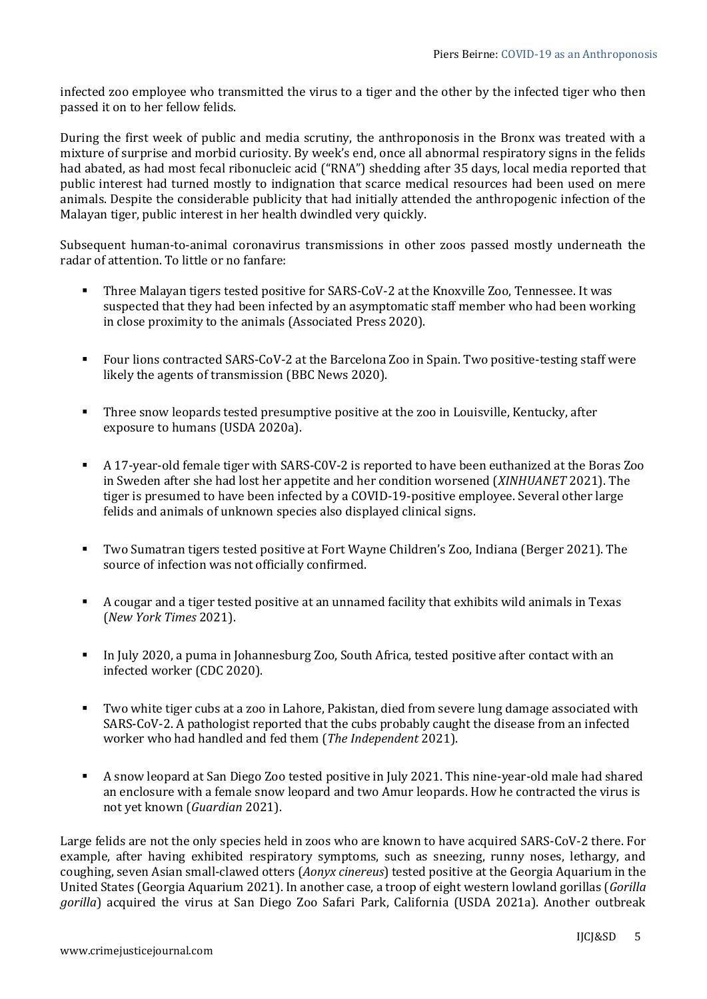infected zoo employee who transmitted the virus to a tiger and the other by the infected tiger who then passed it on to her fellow felids.

During the first week of public and media scrutiny, the anthroponosis in the Bronx was treated with a mixture of surprise and morbid curiosity. By week's end, once all abnormal respiratory signs in the felids had abated, as had most fecal ribonucleic acid ("RNA") shedding after 35 days, local media reported that public interest had turned mostly to indignation that scarce medical resources had been used on mere animals. Despite the considerable publicity that had initially attended the anthropogenic infection of the Malayan tiger, public interest in her health dwindled very quickly.

Subsequent human-to-animal coronavirus transmissions in other zoos passed mostly underneath the radar of attention. To little or no fanfare:

- Three Malayan tigers tested positive for SARS-CoV-2 at the Knoxville Zoo, Tennessee. It was suspected that they had been infected by an asymptomatic staff member who had been working in close proximity to the animals (Associated Press 2020).
- Four lions contracted SARS-CoV-2 at the Barcelona Zoo in Spain. Two positive-testing staff were likely the agents of transmission (BBC News 2020).
- Three snow leopards tested presumptive positive at the zoo in Louisville, Kentucky, after exposure to humans (USDA 2020a).
- A 17-year-old female tiger with SARS-C0V-2 is reported to have been euthanized at the Boras Zoo in Sweden after she had lost her appetite and her condition worsened (*XINHUANET* 2021). The tiger is presumed to have been infected by a COVID-19-positive employee. Several other large felids and animals of unknown species also displayed clinical signs.
- Two Sumatran tigers tested positive at Fort Wayne Children's Zoo, Indiana (Berger 2021). The source of infection was not officially confirmed.
- A cougar and a tiger tested positive at an unnamed facility that exhibits wild animals in Texas (*New York Times* 2021).
- In July 2020, a puma in Johannesburg Zoo, South Africa, tested positive after contact with an infected worker (CDC 2020).
- Two white tiger cubs at a zoo in Lahore, Pakistan, died from severe lung damage associated with SARS-CoV-2. A pathologist reported that the cubs probably caught the disease from an infected worker who had handled and fed them (*The Independent* 2021).
- A snow leopard at San Diego Zoo tested positive in July 2021. This nine-year-old male had shared an enclosure with a female snow leopard and two Amur leopards. How he contracted the virus is not yet known (*Guardian* 2021).

Large felids are not the only species held in zoos who are known to have acquired SARS-CoV-2 there. For example, after having exhibited respiratory symptoms, such as sneezing, runny noses, lethargy, and coughing, seven Asian small-clawed otters (*Aonyx cinereus*) tested positive at the Georgia Aquarium in the United States (Georgia Aquarium 2021). In another case, a troop of eight western lowland gorillas (*Gorilla gorilla*) acquired the virus at San Diego Zoo Safari Park, California (USDA 2021a). Another outbreak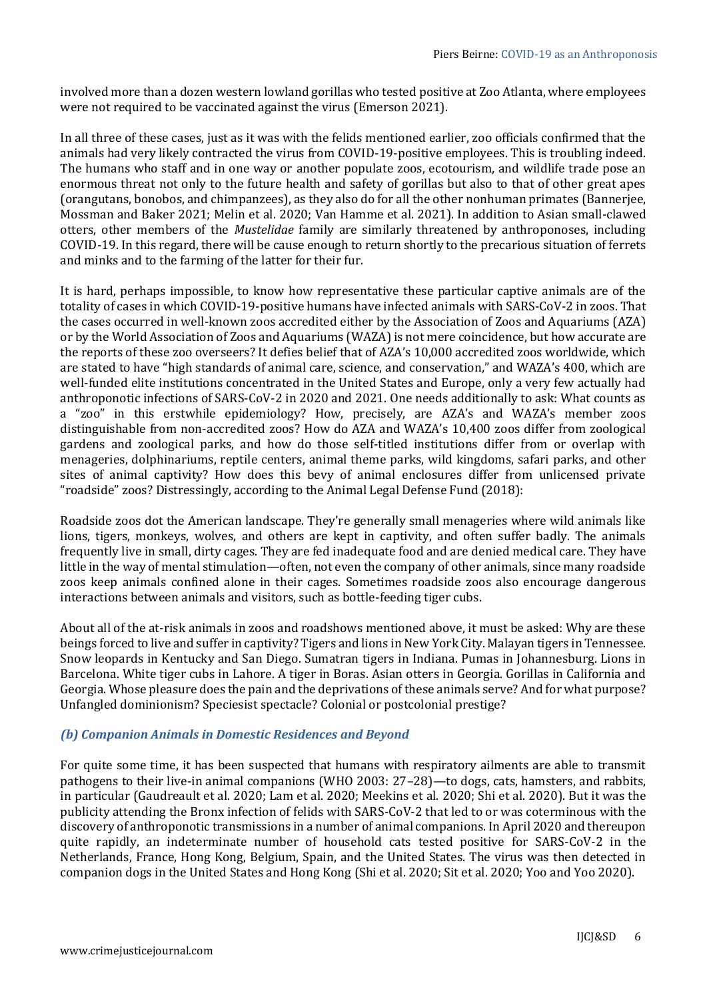involved more than a dozen western lowland gorillas who tested positive at Zoo Atlanta, where employees were not required to be vaccinated against the virus (Emerson 2021).

In all three of these cases, just as it was with the felids mentioned earlier, zoo officials confirmed that the animals had very likely contracted the virus from COVID-19-positive employees. This is troubling indeed. The humans who staff and in one way or another populate zoos, ecotourism, and wildlife trade pose an enormous threat not only to the future health and safety of gorillas but also to that of other great apes (orangutans, bonobos, and chimpanzees), as they also do for all the other nonhuman primates (Bannerjee, Mossman and Baker 2021; Melin et al. 2020; Van Hamme et al. 2021). In addition to Asian small-clawed otters, other members of the *Mustelidae* family are similarly threatened by anthroponoses, including COVID-19. In this regard, there will be cause enough to return shortly to the precarious situation of ferrets and minks and to the farming of the latter for their fur.

It is hard, perhaps impossible, to know how representative these particular captive animals are of the totality of cases in which COVID-19-positive humans have infected animals with SARS-CoV-2 in zoos. That the cases occurred in well-known zoos accredited either by the Association of Zoos and Aquariums (AZA) or by the World Association of Zoos and Aquariums (WAZA) is not mere coincidence, but how accurate are the reports of these zoo overseers? It defies belief that of AZA's 10,000 accredited zoos worldwide, which are stated to have "high standards of animal care, science, and conservation," and WAZA's 400, which are well-funded elite institutions concentrated in the United States and Europe, only a very few actually had anthroponotic infections of SARS-CoV-2 in 2020 and 2021. One needs additionally to ask: What counts as a "zoo" in this erstwhile epidemiology? How, precisely, are AZA's and WAZA's member zoos distinguishable from non-accredited zoos? How do AZA and WAZA's 10,400 zoos differ from zoological gardens and zoological parks, and how do those self-titled institutions differ from or overlap with menageries, dolphinariums, reptile centers, animal theme parks, wild kingdoms, safari parks, and other sites of animal captivity? How does this bevy of animal enclosures differ from unlicensed private "roadside" zoos? Distressingly, according to the Animal Legal Defense Fund (2018):

Roadside zoos dot the American landscape. They're generally small menageries where wild animals like lions, tigers, monkeys, wolves, and others are kept in captivity, and often suffer badly. The animals frequently live in small, dirty cages. They are fed inadequate food and are denied medical care. They have little in the way of mental stimulation—often, not even the company of other animals, since many roadside zoos keep animals confined alone in their cages. Sometimes roadside zoos also encourage dangerous interactions between animals and visitors, such as bottle-feeding tiger cubs.

About all of the at-risk animals in zoos and roadshows mentioned above, it must be asked: Why are these beings forced to live and suffer in captivity? Tigers and lions in New York City. Malayan tigers in Tennessee. Snow leopards in Kentucky and San Diego. Sumatran tigers in Indiana. Pumas in Johannesburg. Lions in Barcelona. White tiger cubs in Lahore. A tiger in Boras. Asian otters in Georgia. Gorillas in California and Georgia. Whose pleasure does the pain and the deprivations of these animals serve? And for what purpose? Unfangled dominionism? Speciesist spectacle? Colonial or postcolonial prestige?

# *(b) Companion Animals in Domestic Residences and Beyond*

For quite some time, it has been suspected that humans with respiratory ailments are able to transmit pathogens to their live-in animal companions (WHO 2003: 27–28)—to dogs, cats, hamsters, and rabbits, in particular (Gaudreault et al. 2020; Lam et al. 2020; Meekins et al. 2020; Shi et al. 2020). But it was the publicity attending the Bronx infection of felids with SARS-CoV-2 that led to or was coterminous with the discovery of anthroponotic transmissions in a number of animal companions. In April 2020 and thereupon quite rapidly, an indeterminate number of household cats tested positive for SARS-CoV-2 in the Netherlands, France, Hong Kong, Belgium, Spain, and the United States. The virus was then detected in companion dogs in the United States and Hong Kong (Shi et al. 2020; Sit et al. 2020; Yoo and Yoo 2020).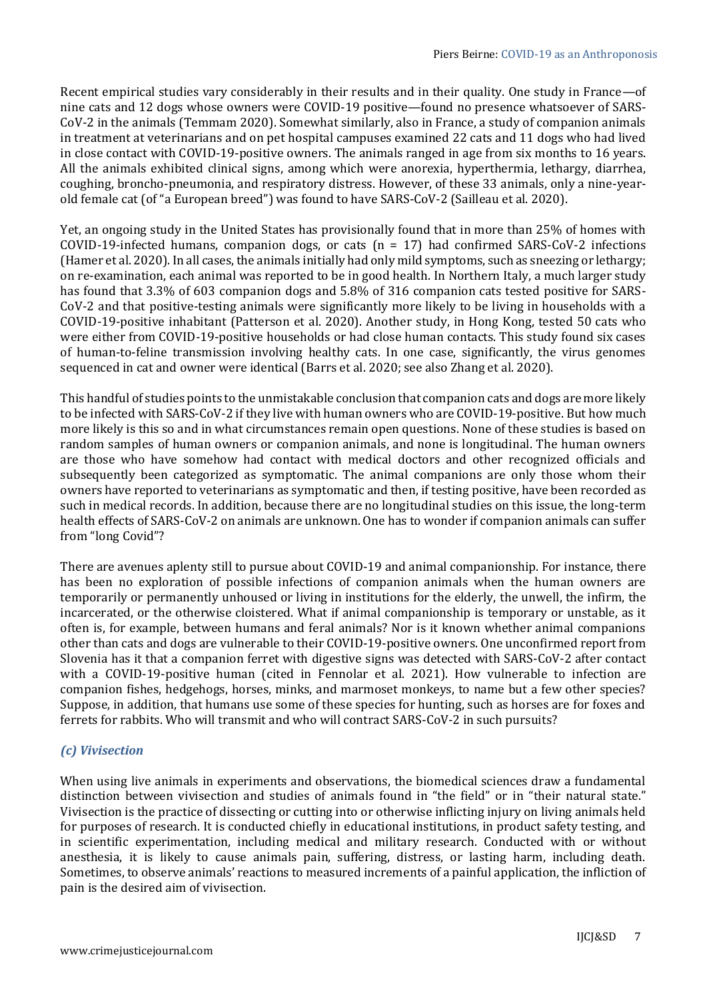Recent empirical studies vary considerably in their results and in their quality. One study in France—of nine cats and 12 dogs whose owners were COVID-19 positive—found no presence whatsoever of SARS-CoV-2 in the animals (Temmam 2020). Somewhat similarly, also in France, a study of companion animals in treatment at veterinarians and on pet hospital campuses examined 22 cats and 11 dogs who had lived in close contact with COVID-19-positive owners. The animals ranged in age from six months to 16 years. All the animals exhibited clinical signs, among which were anorexia, hyperthermia, lethargy, diarrhea, coughing, broncho-pneumonia, and respiratory distress. However, of these 33 animals, only a nine-yearold female cat (of "a European breed") was found to have SARS-CoV-2 (Sailleau et al. 2020).

Yet, an ongoing study in the United States has provisionally found that in more than 25% of homes with COVID-19-infected humans, companion dogs, or cats  $(n = 17)$  had confirmed SARS-CoV-2 infections (Hamer et al. 2020). In all cases, the animals initially had only mild symptoms, such as sneezing or lethargy; on re-examination, each animal was reported to be in good health. In Northern Italy, a much larger study has found that 3.3% of 603 companion dogs and 5.8% of 316 companion cats tested positive for SARS-CoV-2 and that positive-testing animals were significantly more likely to be living in households with a COVID-19-positive inhabitant (Patterson et al. 2020). Another study, in Hong Kong, tested 50 cats who were either from COVID-19-positive households or had close human contacts. This study found six cases of human-to-feline transmission involving healthy cats. In one case, significantly, the virus genomes sequenced in cat and owner were identical (Barrs et al. 2020; see also Zhang et al. 2020).

This handful of studies points to the unmistakable conclusion that companion cats and dogs are more likely to be infected with SARS-CoV-2 if they live with human owners who are COVID-19-positive. But how much more likely is this so and in what circumstances remain open questions. None of these studies is based on random samples of human owners or companion animals, and none is longitudinal. The human owners are those who have somehow had contact with medical doctors and other recognized officials and subsequently been categorized as symptomatic. The animal companions are only those whom their owners have reported to veterinarians as symptomatic and then, if testing positive, have been recorded as such in medical records. In addition, because there are no longitudinal studies on this issue, the long-term health effects of SARS-CoV-2 on animals are unknown. One has to wonder if companion animals can suffer from "long Covid"?

There are avenues aplenty still to pursue about COVID-19 and animal companionship. For instance, there has been no exploration of possible infections of companion animals when the human owners are temporarily or permanently unhoused or living in institutions for the elderly, the unwell, the infirm, the incarcerated, or the otherwise cloistered. What if animal companionship is temporary or unstable, as it often is, for example, between humans and feral animals? Nor is it known whether animal companions other than cats and dogs are vulnerable to their COVID-19-positive owners. One unconfirmed report from Slovenia has it that a companion ferret with digestive signs was detected with SARS-CoV-2 after contact with a COVID-19-positive human (cited in Fennolar et al. 2021). How vulnerable to infection are companion fishes, hedgehogs, horses, minks, and marmoset monkeys, to name but a few other species? Suppose, in addition, that humans use some of these species for hunting, such as horses are for foxes and ferrets for rabbits. Who will transmit and who will contract SARS-CoV-2 in such pursuits?

## *(c) Vivisection*

When using live animals in experiments and observations, the biomedical sciences draw a fundamental distinction between vivisection and studies of animals found in "the field" or in "their natural state." Vivisection is the practice of dissecting or cutting into or otherwise inflicting injury on living animals held for purposes of research. It is conducted chiefly in educational institutions, in product safety testing, and in scientific experimentation, including medical and military research. Conducted with or without anesthesia, it is likely to cause animals pain, suffering, distress, or lasting harm, including death. Sometimes, to observe animals' reactions to measured increments of a painful application, the infliction of pain is the desired aim of vivisection.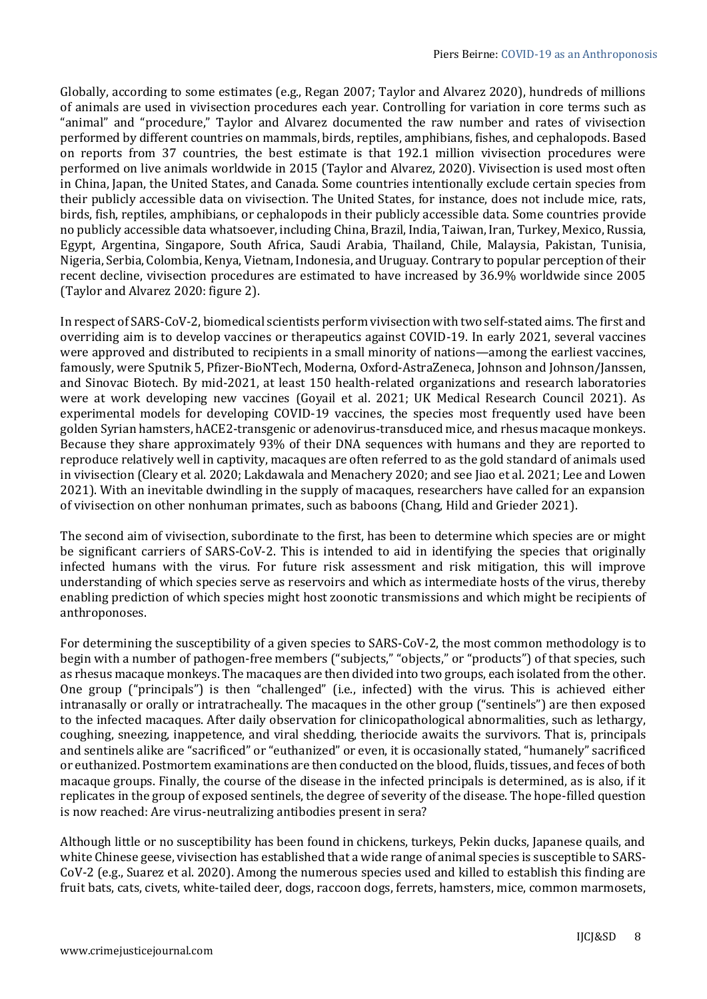Globally, according to some estimates (e.g., Regan 2007; Taylor and Alvarez 2020), hundreds of millions of animals are used in vivisection procedures each year. Controlling for variation in core terms such as "animal" and "procedure," Taylor and Alvarez documented the raw number and rates of vivisection performed by different countries on mammals, birds, reptiles, amphibians, fishes, and cephalopods. Based on reports from 37 countries, the best estimate is that 192.1 million vivisection procedures were performed on live animals worldwide in 2015 (Taylor and Alvarez, 2020). Vivisection is used most often in China, Japan, the United States, and Canada. Some countries intentionally exclude certain species from their publicly accessible data on vivisection. The United States, for instance, does not include mice, rats, birds, fish, reptiles, amphibians, or cephalopods in their publicly accessible data. Some countries provide no publicly accessible data whatsoever, including China, Brazil, India, Taiwan, Iran, Turkey, Mexico, Russia, Egypt, Argentina, Singapore, South Africa, Saudi Arabia, Thailand, Chile, Malaysia, Pakistan, Tunisia, Nigeria, Serbia, Colombia, Kenya, Vietnam, Indonesia, and Uruguay. Contrary to popular perception of their recent decline, vivisection procedures are estimated to have increased by 36.9% worldwide since 2005 (Taylor and Alvarez 2020: figure 2).

In respect of SARS-CoV-2, biomedical scientists perform vivisection with two self-stated aims. The first and overriding aim is to develop vaccines or therapeutics against COVID-19. In early 2021, several vaccines were approved and distributed to recipients in a small minority of nations—among the earliest vaccines, famously, were Sputnik 5, Pfizer-BioNTech, Moderna, Oxford-AstraZeneca, Johnson and Johnson/Janssen, and Sinovac Biotech. By mid-2021, at least 150 health-related organizations and research laboratories were at work developing new vaccines (Goyail et al. 2021; UK Medical Research Council 2021). As experimental models for developing COVID-19 vaccines, the species most frequently used have been golden Syrian hamsters, hACE2-transgenic or adenovirus-transduced mice, and rhesus macaque monkeys. Because they share approximately 93% of their DNA sequences with humans and they are reported to reproduce relatively well in captivity, macaques are often referred to as the gold standard of animals used in vivisection (Cleary et al. 2020; Lakdawala and Menachery 2020; and see Jiao et al. 2021; Lee and Lowen 2021). With an inevitable dwindling in the supply of macaques, researchers have called for an expansion of vivisection on other nonhuman primates, such as baboons (Chang, Hild and Grieder 2021).

The second aim of vivisection, subordinate to the first, has been to determine which species are or might be significant carriers of SARS-CoV-2. This is intended to aid in identifying the species that originally infected humans with the virus. For future risk assessment and risk mitigation, this will improve understanding of which species serve as reservoirs and which as intermediate hosts of the virus, thereby enabling prediction of which species might host zoonotic transmissions and which might be recipients of anthroponoses.

For determining the susceptibility of a given species to SARS-CoV-2, the most common methodology is to begin with a number of pathogen-free members ("subjects," "objects," or "products") of that species, such as rhesus macaque monkeys. The macaques are then divided into two groups, each isolated from the other. One group ("principals") is then "challenged" (i.e., infected) with the virus. This is achieved either intranasally or orally or intratracheally. The macaques in the other group ("sentinels") are then exposed to the infected macaques. After daily observation for clinicopathological abnormalities, such as lethargy, coughing, sneezing, inappetence, and viral shedding, theriocide awaits the survivors. That is, principals and sentinels alike are "sacrificed" or "euthanized" or even, it is occasionally stated, "humanely" sacrificed or euthanized. Postmortem examinations are then conducted on the blood, fluids, tissues, and feces of both macaque groups. Finally, the course of the disease in the infected principals is determined, as is also, if it replicates in the group of exposed sentinels, the degree of severity of the disease. The hope-filled question is now reached: Are virus-neutralizing antibodies present in sera?

Although little or no susceptibility has been found in chickens, turkeys, Pekin ducks, Japanese quails, and white Chinese geese, vivisection has established that a wide range of animal species is susceptible to SARS-CoV-2 (e.g., Suarez et al. 2020). Among the numerous species used and killed to establish this finding are fruit bats, cats, civets, white-tailed deer, dogs, raccoon dogs, ferrets, hamsters, mice, common marmosets,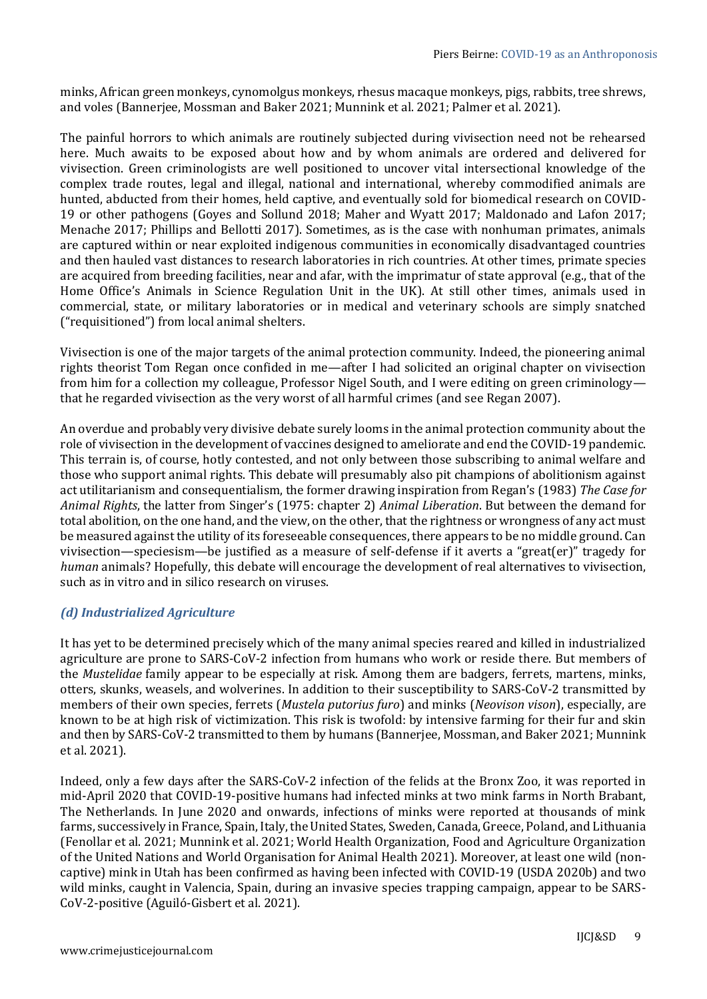minks, African green monkeys, cynomolgus monkeys, rhesus macaque monkeys, pigs, rabbits, tree shrews, and voles (Bannerjee, Mossman and Baker 2021; Munnink et al. 2021; Palmer et al. 2021).

The painful horrors to which animals are routinely subjected during vivisection need not be rehearsed here. Much awaits to be exposed about how and by whom animals are ordered and delivered for vivisection. Green criminologists are well positioned to uncover vital intersectional knowledge of the complex trade routes, legal and illegal, national and international, whereby commodified animals are hunted, abducted from their homes, held captive, and eventually sold for biomedical research on COVID-19 or other pathogens (Goyes and Sollund 2018; Maher and Wyatt 2017; Maldonado and Lafon 2017; Menache 2017; Phillips and Bellotti 2017). Sometimes, as is the case with nonhuman primates, animals are captured within or near exploited indigenous communities in economically disadvantaged countries and then hauled vast distances to research laboratories in rich countries. At other times, primate species are acquired from breeding facilities, near and afar, with the imprimatur of state approval (e.g., that of the Home Office's Animals in Science Regulation Unit in the UK). At still other times, animals used in commercial, state, or military laboratories or in medical and veterinary schools are simply snatched ("requisitioned") from local animal shelters.

Vivisection is one of the major targets of the animal protection community. Indeed, the pioneering animal rights theorist Tom Regan once confided in me—after I had solicited an original chapter on vivisection from him for a collection my colleague, Professor Nigel South, and I were editing on green criminology that he regarded vivisection as the very worst of all harmful crimes (and see Regan 2007).

An overdue and probably very divisive debate surely looms in the animal protection community about the role of vivisection in the development of vaccines designed to ameliorate and end the COVID-19 pandemic. This terrain is, of course, hotly contested, and not only between those subscribing to animal welfare and those who support animal rights. This debate will presumably also pit champions of abolitionism against act utilitarianism and consequentialism, the former drawing inspiration from Regan's (1983) *The Case for Animal Rights*, the latter from Singer's (1975: chapter 2) *Animal Liberation*. But between the demand for total abolition, on the one hand, and the view, on the other, that the rightness or wrongness of any act must be measured against the utility of its foreseeable consequences, there appears to be no middle ground. Can vivisection—speciesism—be justified as a measure of self-defense if it averts a "great(er)" tragedy for *human* animals? Hopefully, this debate will encourage the development of real alternatives to vivisection, such as in vitro and in silico research on viruses.

# *(d) Industrialized Agriculture*

It has yet to be determined precisely which of the many animal species reared and killed in industrialized agriculture are prone to SARS-CoV-2 infection from humans who work or reside there. But members of the *Mustelidae* family appear to be especially at risk. Among them are badgers, ferrets, martens, minks, otters, skunks, weasels, and wolverines. In addition to their susceptibility to SARS-CoV-2 transmitted by members of their own species, ferrets (*Mustela putorius furo*) and minks (*Neovison vison*), especially, are known to be at high risk of victimization. This risk is twofold: by intensive farming for their fur and skin and then by SARS-CoV-2 transmitted to them by humans (Bannerjee, Mossman, and Baker 2021; Munnink et al. 2021).

Indeed, only a few days after the SARS-CoV-2 infection of the felids at the Bronx Zoo, it was reported in mid-April 2020 that COVID-19-positive humans had infected minks at two mink farms in North Brabant, The Netherlands. In June 2020 and onwards, infections of minks were reported at thousands of mink farms, successively in France, Spain, Italy, the United States, Sweden, Canada, Greece, Poland, and Lithuania (Fenollar et al. 2021; Munnink et al. 2021; World Health Organization, Food and Agriculture Organization of the United Nations and World Organisation for Animal Health 2021). Moreover, at least one wild (noncaptive) mink in Utah has been confirmed as having been infected with COVID-19 (USDA 2020b) and two wild minks, caught in Valencia, Spain, during an invasive species trapping campaign, appear to be SARS-CoV-2-positive (Aguiló-Gisbert et al. 2021).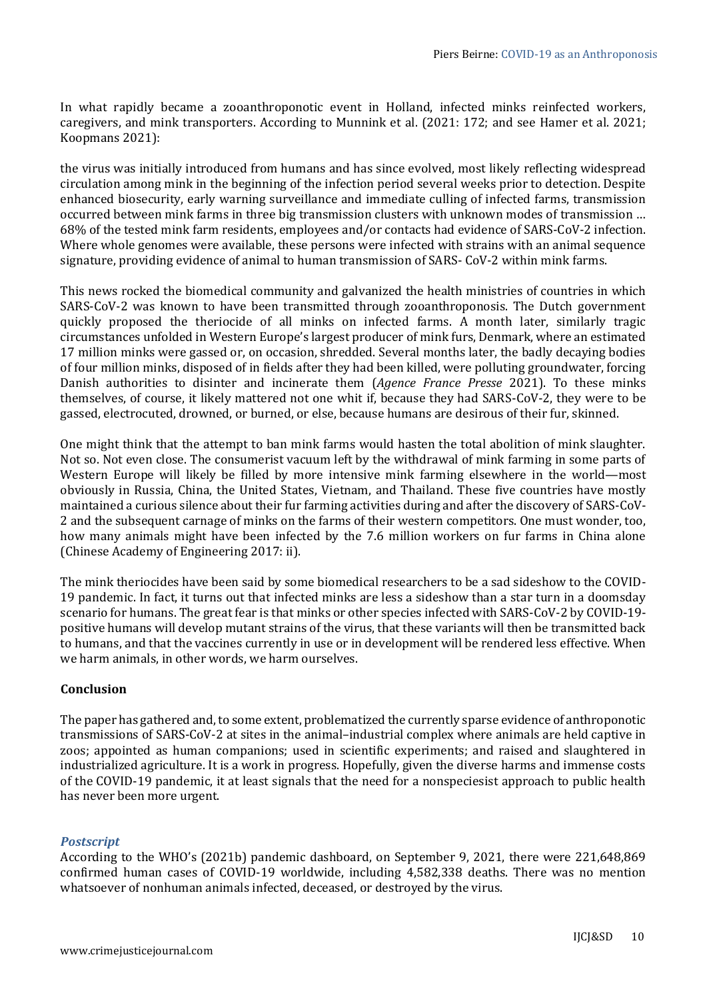In what rapidly became a zooanthroponotic event in Holland, infected minks reinfected workers, caregivers, and mink transporters. According to Munnink et al. (2021: 172; and see Hamer et al. 2021; Koopmans 2021):

the virus was initially introduced from humans and has since evolved, most likely reflecting widespread circulation among mink in the beginning of the infection period several weeks prior to detection. Despite enhanced biosecurity, early warning surveillance and immediate culling of infected farms, transmission occurred between mink farms in three big transmission clusters with unknown modes of transmission … 68% of the tested mink farm residents, employees and/or contacts had evidence of SARS-CoV-2 infection. Where whole genomes were available, these persons were infected with strains with an animal sequence signature, providing evidence of animal to human transmission of SARS- CoV-2 within mink farms.

This news rocked the biomedical community and galvanized the health ministries of countries in which SARS-CoV-2 was known to have been transmitted through zooanthroponosis. The Dutch government quickly proposed the theriocide of all minks on infected farms. A month later, similarly tragic circumstances unfolded in Western Europe's largest producer of mink furs, Denmark, where an estimated 17 million minks were gassed or, on occasion, shredded. Several months later, the badly decaying bodies of four million minks, disposed of in fields after they had been killed, were polluting groundwater, forcing Danish authorities to disinter and incinerate them (*Agence France Presse* 2021). To these minks themselves, of course, it likely mattered not one whit if, because they had SARS-CoV-2, they were to be gassed, electrocuted, drowned, or burned, or else, because humans are desirous of their fur, skinned.

One might think that the attempt to ban mink farms would hasten the total abolition of mink slaughter. Not so. Not even close. The consumerist vacuum left by the withdrawal of mink farming in some parts of Western Europe will likely be filled by more intensive mink farming elsewhere in the world—most obviously in Russia, China, the United States, Vietnam, and Thailand. These five countries have mostly maintained a curious silence about their fur farming activities during and after the discovery of SARS-CoV-2 and the subsequent carnage of minks on the farms of their western competitors. One must wonder, too, how many animals might have been infected by the 7.6 million workers on fur farms in China alone (Chinese Academy of Engineering 2017: ii).

The mink theriocides have been said by some biomedical researchers to be a sad sideshow to the COVID-19 pandemic. In fact, it turns out that infected minks are less a sideshow than a star turn in a doomsday scenario for humans. The great fear is that minks or other species infected with SARS-CoV-2 by COVID-19 positive humans will develop mutant strains of the virus, that these variants will then be transmitted back to humans, and that the vaccines currently in use or in development will be rendered less effective. When we harm animals, in other words, we harm ourselves.

# **Conclusion**

The paper has gathered and, to some extent, problematized the currently sparse evidence of anthroponotic transmissions of SARS-CoV-2 at sites in the animal–industrial complex where animals are held captive in zoos; appointed as human companions; used in scientific experiments; and raised and slaughtered in industrialized agriculture. It is a work in progress. Hopefully, given the diverse harms and immense costs of the COVID-19 pandemic, it at least signals that the need for a nonspeciesist approach to public health has never been more urgent.

# *Postscript*

According to the WHO's (2021b) pandemic dashboard, on September 9, 2021, there were 221,648,869 confirmed human cases of COVID-19 worldwide, including 4,582,338 deaths. There was no mention whatsoever of nonhuman animals infected, deceased, or destroyed by the virus.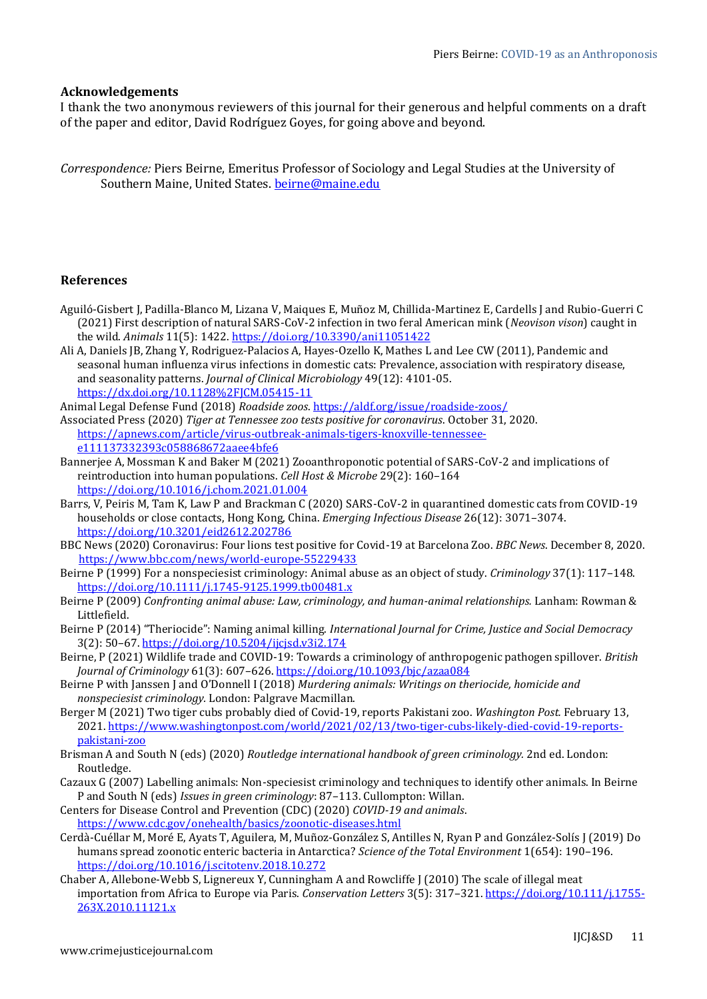## **Acknowledgements**

I thank the two anonymous reviewers of this journal for their generous and helpful comments on a draft of the paper and editor, David Rodríguez Goyes, for going above and beyond.

*Correspondence:* Piers Beirne, Emeritus Professor of Sociology and Legal Studies at the University of Southern Maine, United States. [beirne@maine.edu](mailto:beirne@maine.edu)

## **References**

- Aguiló-Gisbert J, Padilla-Blanco M, Lizana V, Maiques E, Muñoz M, Chillida-Martinez E, Cardells J and Rubio-Guerri C (2021) First description of natural SARS-CoV-2 infection in two feral American mink (*Neovison vison*) caught in the wild. *Animals* 11(5): 1422. <https://doi.org/10.3390/ani11051422>
- Ali A, Daniels JB, Zhang Y, Rodriguez-Palacios A, Hayes-Ozello K, Mathes L and Lee CW (2011), Pandemic and seasonal human influenza virus infections in domestic cats: Prevalence, association with respiratory disease, and seasonality patterns. *Journal of Clinical Microbiology* 49(12): 4101-05. <https://dx.doi.org/10.1128%2FJCM.05415-11>

Animal Legal Defense Fund (2018) *Roadside zoos*. <https://aldf.org/issue/roadside-zoos/>

Associated Press (2020) *Tiger at Tennessee zoo tests positive for coronavirus*. October 31, 2020. [https://apnews.com/article/virus-outbreak-animals-tigers-knoxville-tennessee](https://apnews.com/article/virus-outbreak-animals-tigers-knoxville-tennessee-e111137332393c058868672aaee4bfe6)[e111137332393c058868672aaee4bfe6](https://apnews.com/article/virus-outbreak-animals-tigers-knoxville-tennessee-e111137332393c058868672aaee4bfe6) 

- Bannerjee A, Mossman K and Baker M (2021) Zooanthroponotic potential of SARS-CoV-2 and implications of reintroduction into human populations. *Cell Host & Microbe* 29(2): 160–164 <https://doi.org/10.1016/j.chom.2021.01.004>
- Barrs, V, Peiris M, Tam K, Law P and Brackman C (2020) SARS-CoV-2 in quarantined domestic cats from COVID-19 households or close contacts, Hong Kong, China. *Emerging Infectious Disease* 26(12): 3071–3074. <https://doi.org/10.3201/eid2612.202786>
- BBC News (2020) Coronavirus: Four lions test positive for Covid-19 at Barcelona Zoo. *BBC News*. December 8, 2020. <https://www.bbc.com/news/world-europe-55229433>
- Beirne P (1999) For a nonspeciesist criminology: Animal abuse as an object of study. *Criminology* 37(1): 117–148. <https://doi.org/10.1111/j.1745-9125.1999.tb00481.x>
- Beirne P (2009) *Confronting animal abuse: Law, criminology, and human-animal relationships.* Lanham: Rowman & Littlefield.
- Beirne P (2014) "Theriocide": Naming animal killing. *International Journal for Crime, Justice and Social Democracy* 3(2): 50–67. <https://doi.org/10.5204/ijcjsd.v3i2.174>
- Beirne, P (2021) Wildlife trade and COVID-19: Towards a criminology of anthropogenic pathogen spillover. *British Journal of Criminology* 61(3): 607–626. <https://doi.org/10.1093/bjc/azaa084>
- Beirne P with Janssen J and O'Donnell I (2018) *Murdering animals: Writings on theriocide, homicide and nonspeciesist criminology.* London: Palgrave Macmillan.
- Berger M (2021) Two tiger cubs probably died of Covid-19, reports Pakistani zoo. *Washington Post.* February 13, 2021[. https://www.washingtonpost.com/world/2021/02/13/two-tiger-cubs-likely-died-covid-19-reports](https://www.washingtonpost.com/world/2021/02/13/two-tiger-cubs-likely-died-covid-19-reports-pakistani-zoo)[pakistani-zoo](https://www.washingtonpost.com/world/2021/02/13/two-tiger-cubs-likely-died-covid-19-reports-pakistani-zoo)
- Brisman A and South N (eds) (2020) *Routledge international handbook of green criminology.* 2nd ed. London: Routledge.
- Cazaux G (2007) Labelling animals: Non-speciesist criminology and techniques to identify other animals. In Beirne P and South N (eds) *Issues in green criminology*: 87–113. Cullompton: Willan.

Centers for Disease Control and Prevention (CDC) (2020) *COVID-19 and animals*. <https://www.cdc.gov/onehealth/basics/zoonotic-diseases.html>

- Cerdà-Cuéllar M, Moré E, Ayats T, Aguilera, M, Muñoz-González S, Antilles N, Ryan P and González-Solís J (2019) Do humans spread zoonotic enteric bacteria in Antarctica? *Science of the Total Environment* 1(654): 190–196. <https://doi.org/10.1016/j.scitotenv.2018.10.272>
- Chaber A, Allebone-Webb S, Lignereux Y, Cunningham A and Rowcliffe J (2010) The scale of illegal meat importation from Africa to Europe via Paris. *Conservation Letters* 3(5): 317–321. [https://doi.org/10.111/j.1755-](https://doi.org/10.111/j.1755-263X.2010.11121.x) [263X.2010.11121.x](https://doi.org/10.111/j.1755-263X.2010.11121.x)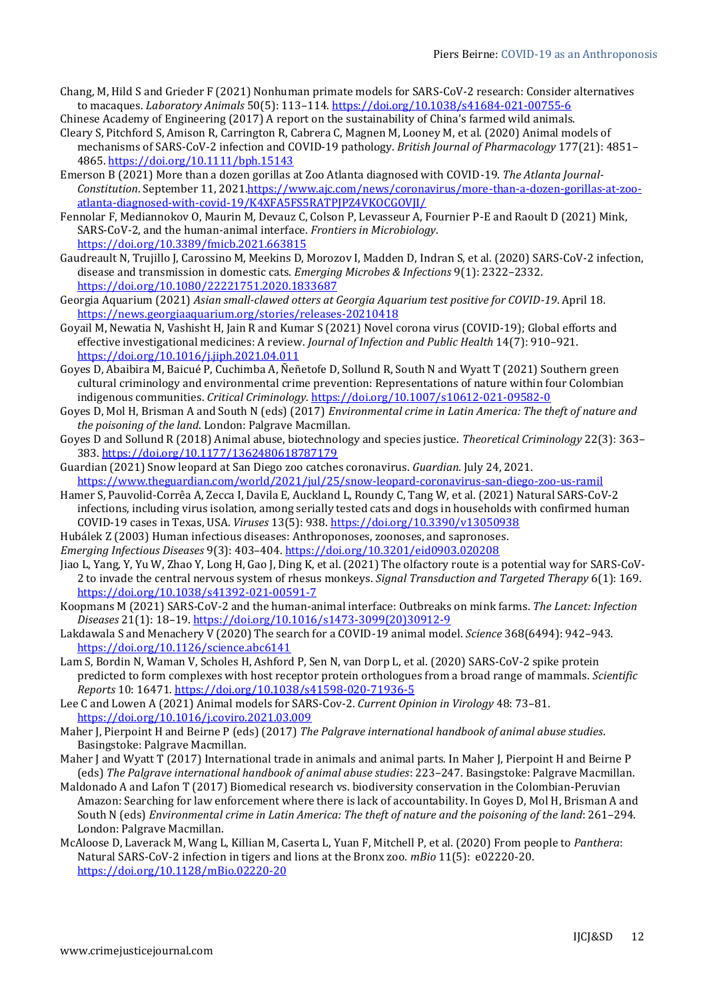- Chang, M, Hild S and Grieder F (2021) Nonhuman primate models for SARS-CoV-2 research: Consider alternatives to macaques. *Laboratory Animals* 50(5): 113–114.<https://doi.org/10.1038/s41684-021-00755-6>
- Chinese Academy of Engineering (2017) A report on the sustainability of China's farmed wild animals. Cleary S, Pitchford S, Amison R, Carrington R, Cabrera C, Magnen M, Looney M, et al. (2020) Animal models of mechanisms of SARS-CoV-2 infection and COVID-19 pathology. *British Journal of Pharmacology* 177(21): 4851– 4865. <https://doi.org/10.1111/bph.15143>
- Emerson B (2021) More than a dozen gorillas at Zoo Atlanta diagnosed with COVID-19. *The Atlanta Journal-Constitution*. September 11, 2021[.https://www.ajc.com/news/coronavirus/more-than-a-dozen-gorillas-at-zoo](https://www.ajc.com/news/coronavirus/more-than-a-dozen-gorillas-at-zoo-atlanta-diagnosed-with-covid-19/K4XFA5FS5RATPJPZ4VKOCGOVJI/)[atlanta-diagnosed-with-covid-19/K4XFA5FS5RATPJPZ4VKOCGOVJI/](https://www.ajc.com/news/coronavirus/more-than-a-dozen-gorillas-at-zoo-atlanta-diagnosed-with-covid-19/K4XFA5FS5RATPJPZ4VKOCGOVJI/)
- Fennolar F, Mediannokov O, Maurin M, Devauz C, Colson P, Levasseur A, Fournier P-E and Raoult D (2021) Mink, SARS-CoV-2, and the human-animal interface. *Frontiers in Microbiology*. <https://doi.org/10.3389/fmicb.2021.663815>
- Gaudreault N, Trujillo J, Carossino M, Meekins D, Morozov I, Madden D, Indran S, et al. (2020) SARS-CoV-2 infection, disease and transmission in domestic cats. *Emerging Microbes & Infections* 9(1): 2322–2332. <https://doi.org/10.1080/22221751.2020.1833687>
- Georgia Aquarium (2021) *Asian small-clawed otters at Georgia Aquarium test positive for COVID-19*. April 18. <https://news.georgiaaquarium.org/stories/releases-20210418>
- Goyail M, Newatia N, Vashisht H, Jain R and Kumar S (2021) Novel corona virus (COVID-19); Global efforts and effective investigational medicines: A review. *Journal of Infection and Public Health* 14(7): 910–921. <https://doi.org/10.1016/j.jiph.2021.04.011>
- Goyes D, Abaibira M, Baicué P, Cuchimba A, Ñeñetofe D, Sollund R, South N and Wyatt T (2021) Southern green cultural criminology and environmental crime prevention: Representations of nature within four Colombian indigenous communities. *Critical Criminology*. <https://doi.org/10.1007/s10612-021-09582-0>
- Goyes D, Mol H, Brisman A and South N (eds) (2017) *Environmental crime in Latin America: The theft of nature and the poisoning of the land*. London: Palgrave Macmillan.
- Goyes D and Sollund R (2018) Animal abuse, biotechnology and species justice. *Theoretical Criminology* 22(3): 363– 383. <https://doi.org/10.1177/1362480618787179>
- Guardian (2021) Snow leopard at San Diego zoo catches coronavirus. *Guardian*. July 24, 2021. <https://www.theguardian.com/world/2021/jul/25/snow-leopard-coronavirus-san-diego-zoo-us-ramil>
- Hamer S, Pauvolid-Corrêa A, Zecca I, Davila E, Auckland L, Roundy C, Tang W, et al. (2021) Natural SARS-CoV-2 infections, including virus isolation, among serially tested cats and dogs in households with confirmed human COVID-19 cases in Texas, USA. *Viruses* 13(5): 938. <https://doi.org/10.3390/v13050938>
- Hubálek Z (2003) Human infectious diseases: Anthroponoses, zoonoses, and sapronoses.
- *Emerging Infectious Diseases* 9(3): 403–404. <https://doi.org/10.3201/eid0903.020208>
- Jiao L, Yang, Y, Yu W, Zhao Y, Long H, Gao J, Ding K, et al. (2021) The olfactory route is a potential way for SARS-CoV-2 to invade the central nervous system of rhesus monkeys. *Signal Transduction and Targeted Therapy* 6(1): 169. <https://doi.org/10.1038/s41392-021-00591-7>
- Koopmans M (2021) SARS-CoV-2 and the human-animal interface: Outbreaks on mink farms. *The Lancet: Infection Diseases* 21(1): 18–19. [https://doi.org/10.1016/s1473-3099\(20\)30912-9](https://doi.org/10.1016/s1473-3099(20)30912-9)
- Lakdawala S and Menachery V (2020) The search for a COVID-19 animal model. *Science* 368(6494): 942–943. <https://doi.org/10.1126/science.abc6141>
- Lam S, Bordin N, Waman V, Scholes H, Ashford P, Sen N, van Dorp L, et al. (2020) SARS-CoV-2 spike protein predicted to form complexes with host receptor protein orthologues from a broad range of mammals. *Scientific Reports* 10: 16471. <https://doi.org/10.1038/s41598-020-71936-5>
- Lee C and Lowen A (2021) Animal models for SARS-Cov-2. *Current Opinion in Virology* 48: 73–81. <https://doi.org/10.1016/j.coviro.2021.03.009>
- Maher J, Pierpoint H and Beirne P (eds) (2017) *The Palgrave international handbook of animal abuse studies*. Basingstoke: Palgrave Macmillan.
- Maher J and Wyatt T (2017) International trade in animals and animal parts. In Maher J, Pierpoint H and Beirne P (eds) *The Palgrave international handbook of animal abuse studies*: 223–247. Basingstoke: Palgrave Macmillan.
- Maldonado A and Lafon T (2017) Biomedical research vs. biodiversity conservation in the Colombian-Peruvian Amazon: Searching for law enforcement where there is lack of accountability. In Goyes D, Mol H, Brisman A and South N (eds) *Environmental crime in Latin America: The theft of nature and the poisoning of the land*: 261–294. London: Palgrave Macmillan.
- McAloose D, Laverack M, Wang L, Killian M, Caserta L, Yuan F, Mitchell P, et al. (2020) From people to *Panthera*: Natural SARS-CoV-2 infection in tigers and lions at the Bronx zoo. *mBio* 11(5): e02220-20. <https://doi.org/10.1128/mBio.02220-20>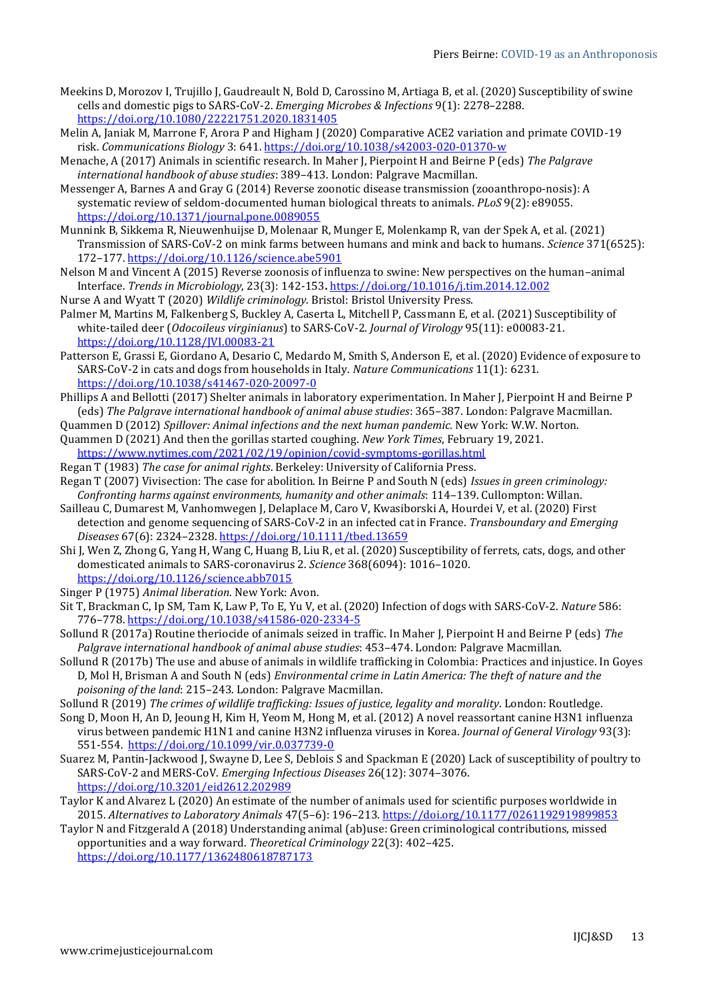- Meekins D, Morozov I, Trujillo J, Gaudreault N, Bold D, Carossino M, Artiaga B, et al. (2020) Susceptibility of swine cells and domestic pigs to SARS-CoV-2. *Emerging Microbes & Infections* 9(1): 2278–2288. <https://doi.org/10.1080/22221751.2020.1831405>
- Melin A, Janiak M, Marrone F, Arora P and Higham J (2020) Comparative ACE2 variation and primate COVID-19 risk. *Communications Biology* 3: 641. <https://doi.org/10.1038/s42003-020-01370-w>
- Menache, A (2017) Animals in scientific research. In Maher J, Pierpoint H and Beirne P (eds) *The Palgrave international handbook of abuse studies*: 389–413. London: Palgrave Macmillan.
- Messenger A, Barnes A and Gray G (2014) Reverse zoonotic disease transmission (zooanthropo-nosis): A systematic review of seldom-documented human biological threats to animals. *PLoS* 9(2): e89055. <https://doi.org/10.1371/journal.pone.0089055>
- Munnink B, Sikkema R, Nieuwenhuijse D, Molenaar R, Munger E, Molenkamp R, van der Spek A, et al. (2021) Transmission of SARS-CoV-2 on mink farms between humans and mink and back to humans. *Science* 371(6525): 172–177. <https://doi.org/10.1126/science.abe5901>
- Nelson M and Vincent A (2015) Reverse zoonosis of influenza to swine: New perspectives on the human–animal Interface. *Trends in Microbiology*, 23(3): 142-153**.** <https://doi.org/10.1016/j.tim.2014.12.002>
- Nurse A and Wyatt T (2020) *Wildlife criminology.* Bristol: Bristol University Press.
- Palmer M, Martins M, Falkenberg S, Buckley A, Caserta L, Mitchell P, Cassmann E, et al. (2021) Susceptibility of white-tailed deer (*Odocoileus virginianus*) to SARS-CoV-2. *Journal of Virology* 95(11): e00083-21. <https://doi.org/10.1128/JVI.00083-21>
- Patterson E, Grassi E, Giordano A, Desario C, Medardo M, Smith S, Anderson E, et al. (2020) Evidence of exposure to SARS-CoV-2 in cats and dogs from households in Italy. *Nature Communications* 11(1): 6231. <https://doi.org/10.1038/s41467-020-20097-0>
- Phillips A and Bellotti (2017) Shelter animals in laboratory experimentation. In Maher J, Pierpoint H and Beirne P (eds) *The Palgrave international handbook of animal abuse studies*: 365–387. London: Palgrave Macmillan.
- Quammen D (2012) *Spillover: Animal infections and the next human pandemic.* New York: W.W. Norton.
- Quammen D (2021) And then the gorillas started coughing. *New York Times*, February 19, 2021. <https://www.nytimes.com/2021/02/19/opinion/covid-symptoms-gorillas.html>
- Regan T (1983) *The case for animal rights*. Berkeley: University of California Press.
- Regan T (2007) Vivisection: The case for abolition. In Beirne P and South N (eds) *Issues in green criminology: Confronting harms against environments, humanity and other animals*: 114–139. Cullompton: Willan.
- Sailleau C, Dumarest M, Vanhomwegen J, Delaplace M, Caro V, Kwasiborski A, Hourdei V, et al. (2020) First detection and genome sequencing of SARS-CoV-2 in an infected cat in France. *Transboundary and Emerging Diseases* 67(6): 2324–2328. <https://doi.org/10.1111/tbed.13659>
- Shi J, Wen Z, Zhong G, Yang H, Wang C, Huang B, Liu R, et al. (2020) Susceptibility of ferrets, cats, dogs, and other domesticated animals to SARS-coronavirus 2. *Science* 368(6094): 1016–1020. <https://doi.org/10.1126/science.abb7015>
- Singer P (1975) *Animal liberation*. New York: Avon.
- Sit T, Brackman C, Ip SM, Tam K, Law P, To E, Yu V, et al. (2020) Infection of dogs with SARS-CoV-2. *Nature* 586: 776–778. <https://doi.org/10.1038/s41586-020-2334-5>
- Sollund R (2017a) Routine theriocide of animals seized in traffic. In Maher J, Pierpoint H and Beirne P (eds) *The Palgrave international handbook of animal abuse studies*: 453–474. London: Palgrave Macmillan.
- Sollund R (2017b) The use and abuse of animals in wildlife trafficking in Colombia: Practices and injustice. In Goyes D, Mol H, Brisman A and South N (eds) *Environmental crime in Latin America: The theft of nature and the poisoning of the land*: 215–243. London: Palgrave Macmillan.
- Sollund R (2019) *The crimes of wildlife trafficking: Issues of justice, legality and morality*. London: Routledge.
- Song D, Moon H, An D, Jeoung H, Kim H, Yeom M, Hong M, et al. (2012) A novel reassortant canine H3N1 influenza virus between pandemic H1N1 and canine H3N2 influenza viruses in Korea. *Journal of General Virology* 93(3): 551-554. <https://doi.org/>[10.1099/vir.0.037739-0](https://urldefense.com/v3/__https:/dx.doi.org/10.1099*2Fvir.0.037739-0__;JQ!!NVzLfOphnbDXSw!S_0t9RXwePJTYhoXly50l74fxfmB1hE_dDaw38NGS57dLzecXp9aHstolijpo-lG302w$)
- Suarez M, Pantin-Jackwood J, Swayne D, Lee S, Deblois S and Spackman E (2020) Lack of susceptibility of poultry to SARS-CoV-2 and MERS-CoV. *Emerging Infectious Diseases* 26(12): 3074–3076. <https://doi.org/10.3201/eid2612.202989>
- Taylor K and Alvarez L (2020) An estimate of the number of animals used for scientific purposes worldwide in 2015. *Alternatives to Laboratory Animals* 47(5–6): 196–213. <https://doi.org/10.1177/0261192919899853>
- Taylor N and Fitzgerald A (2018) Understanding animal (ab)use: Green criminological contributions, missed opportunities and a way forward. *Theoretical Criminology* 22(3): 402–425. <https://doi.org/10.1177/1362480618787173>